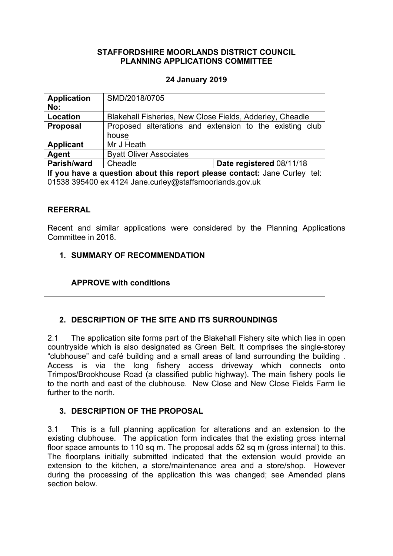### **STAFFORDSHIRE MOORLANDS DISTRICT COUNCIL PLANNING APPLICATIONS COMMITTEE**

### **24 January 2019**

| <b>Application</b><br>No:                                                 | SMD/2018/0705                                            |                                                         |
|---------------------------------------------------------------------------|----------------------------------------------------------|---------------------------------------------------------|
|                                                                           |                                                          |                                                         |
| <b>Location</b>                                                           | Blakehall Fisheries, New Close Fields, Adderley, Cheadle |                                                         |
| <b>Proposal</b>                                                           |                                                          | Proposed alterations and extension to the existing club |
|                                                                           | house                                                    |                                                         |
| <b>Applicant</b>                                                          | Mr J Heath                                               |                                                         |
| Agent                                                                     | <b>Byatt Oliver Associates</b>                           |                                                         |
| Parish/ward                                                               | Cheadle                                                  | Date registered 08/11/18                                |
| If you have a question about this report please contact: Jane Curley tel: |                                                          |                                                         |
| 01538 395400 ex 4124 Jane.curley@staffsmoorlands.gov.uk                   |                                                          |                                                         |
|                                                                           |                                                          |                                                         |

### **REFERRAL**

Recent and similar applications were considered by the Planning Applications Committee in 2018.

### **1. SUMMARY OF RECOMMENDATION**

## **APPROVE with conditions**

## **2. DESCRIPTION OF THE SITE AND ITS SURROUNDINGS**

2.1 The application site forms part of the Blakehall Fishery site which lies in open countryside which is also designated as Green Belt. It comprises the single-storey "clubhouse" and café building and a small areas of land surrounding the building . Access is via the long fishery access driveway which connects onto Trimpos/Brookhouse Road (a classified public highway). The main fishery pools lie to the north and east of the clubhouse. New Close and New Close Fields Farm lie further to the north.

## **3. DESCRIPTION OF THE PROPOSAL**

3.1 This is a full planning application for alterations and an extension to the existing clubhouse. The application form indicates that the existing gross internal floor space amounts to 110 sq m. The proposal adds 52 sq m (gross internal) to this. The floorplans initially submitted indicated that the extension would provide an extension to the kitchen, a store/maintenance area and a store/shop. However during the processing of the application this was changed; see Amended plans section below.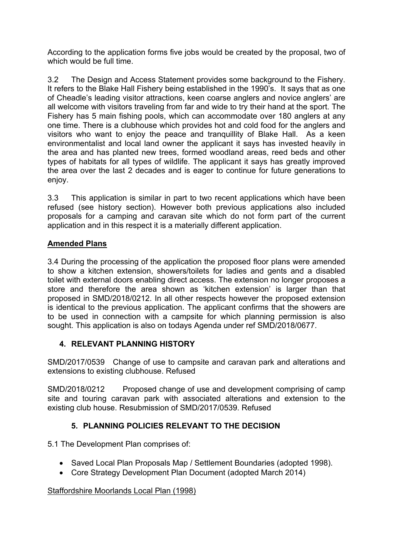According to the application forms five jobs would be created by the proposal, two of which would be full time.

3.2 The Design and Access Statement provides some background to the Fishery. It refers to the Blake Hall Fishery being established in the 1990's. It says that as one of Cheadle's leading visitor attractions, keen coarse anglers and novice anglers' are all welcome with visitors traveling from far and wide to try their hand at the sport. The Fishery has 5 main fishing pools, which can accommodate over 180 anglers at any one time. There is a clubhouse which provides hot and cold food for the anglers and visitors who want to enjoy the peace and tranquillity of Blake Hall. As a keen environmentalist and local land owner the applicant it says has invested heavily in the area and has planted new trees, formed woodland areas, reed beds and other types of habitats for all types of wildlife. The applicant it says has greatly improved the area over the last 2 decades and is eager to continue for future generations to enjoy.

3.3 This application is similar in part to two recent applications which have been refused (see history section). However both previous applications also included proposals for a camping and caravan site which do not form part of the current application and in this respect it is a materially different application.

# **Amended Plans**

3.4 During the processing of the application the proposed floor plans were amended to show a kitchen extension, showers/toilets for ladies and gents and a disabled toilet with external doors enabling direct access. The extension no longer proposes a store and therefore the area shown as 'kitchen extension' is larger than that proposed in SMD/2018/0212. In all other respects however the proposed extension is identical to the previous application. The applicant confirms that the showers are to be used in connection with a campsite for which planning permission is also sought. This application is also on todays Agenda under ref SMD/2018/0677.

## **4. RELEVANT PLANNING HISTORY**

SMD/2017/0539Change of use to campsite and caravan park and alterations and extensions to existing clubhouse. Refused

SMD/2018/0212 Proposed change of use and development comprising of camp site and touring caravan park with associated alterations and extension to the existing club house. Resubmission of SMD/2017/0539. Refused

# **5. PLANNING POLICIES RELEVANT TO THE DECISION**

5.1 The Development Plan comprises of:

- Saved Local Plan Proposals Map / Settlement Boundaries (adopted 1998).
- Core Strategy Development Plan Document (adopted March 2014)

## Staffordshire Moorlands Local Plan (1998)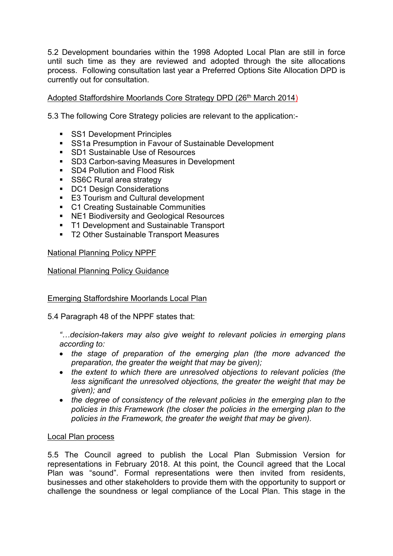5.2 Development boundaries within the 1998 Adopted Local Plan are still in force until such time as they are reviewed and adopted through the site allocations process. Following consultation last year a Preferred Options Site Allocation DPD is currently out for consultation.

## Adopted Staffordshire Moorlands Core Strategy DPD (26<sup>th</sup> March 2014)

5.3 The following Core Strategy policies are relevant to the application:-

- SS1 Development Principles
- **SS1a Presumption in Favour of Sustainable Development**
- SD1 Sustainable Use of Resources
- SD3 Carbon-saving Measures in Development
- SD4 Pollution and Flood Risk
- SS6C Rural area strategy
- DC1 Design Considerations
- E3 Tourism and Cultural development
- C1 Creating Sustainable Communities
- NE1 Biodiversity and Geological Resources
- **T1 Development and Sustainable Transport**
- T2 Other Sustainable Transport Measures

### National Planning Policy NPPF

#### National Planning Policy Guidance

### Emerging Staffordshire Moorlands Local Plan

5.4 Paragraph 48 of the NPPF states that:

*"…decision-takers may also give weight to relevant policies in emerging plans according to:*

- *the stage of preparation of the emerging plan (the more advanced the preparation, the greater the weight that may be given);*
- *the extent to which there are unresolved objections to relevant policies (the less significant the unresolved objections, the greater the weight that may be given); and*
- *the degree of consistency of the relevant policies in the emerging plan to the policies in this Framework (the closer the policies in the emerging plan to the policies in the Framework, the greater the weight that may be given).*

#### Local Plan process

5.5 The Council agreed to publish the Local Plan Submission Version for representations in February 2018. At this point, the Council agreed that the Local Plan was "sound". Formal representations were then invited from residents, businesses and other stakeholders to provide them with the opportunity to support or challenge the soundness or legal compliance of the Local Plan. This stage in the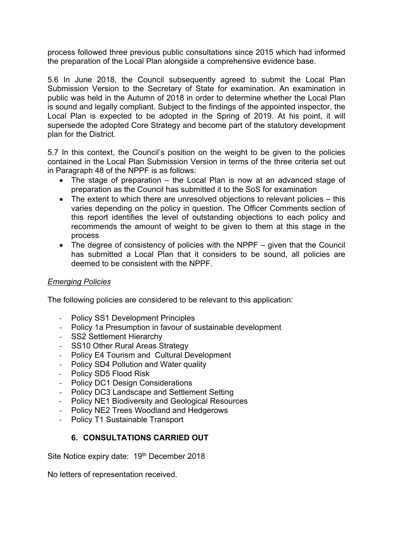process followed three previous public consultations since 2015 which had informed the preparation of the Local Plan alongside a comprehensive evidence base.

5.6 In June 2018, the Council subsequently agreed to submit the Local Plan Submission Version to the Secretary of State for examination. An examination in public was held in the Autumn of 2018 in order to determine whether the Local Plan is sound and legally compliant. Subject to the findings of the appointed inspector, the Local Plan is expected to be adopted in the Spring of 2019. At his point, it will supersede the adopted Core Strategy and become part of the statutory development plan for the District.

5.7 In this context, the Council's position on the weight to be given to the policies contained in the Local Plan Submission Version in terms of the three criteria set out in Paragraph 48 of the NPPF is as follows:

- The stage of preparation the Local Plan is now at an advanced stage of preparation as the Council has submitted it to the SoS for examination
- The extent to which there are unresolved objections to relevant policies this varies depending on the policy in question. The Officer Comments section of this report identifies the level of outstanding objections to each policy and recommends the amount of weight to be given to them at this stage in the process
- The degree of consistency of policies with the NPPF given that the Council has submitted a Local Plan that it considers to be sound, all policies are deemed to be consistent with the NPPF.

## *Emerging Policies*

The following policies are considered to be relevant to this application:

- Policy SS1 Development Principles
- Policy 1a Presumption in favour of sustainable development
- SS2 Settlement Hierarchy
- SS10 Other Rural Areas Strategy
- Policy E4 Tourism and Cultural Development
- Policy SD4 Pollution and Water quality
- Policy SD5 Flood Risk
- Policy DC1 Design Considerations
- Policy DC3 Landscape and Settlement Setting
- Policy NE1 Biodiversity and Geological Resources
- Policy NE2 Trees Woodland and Hedgerows
- Policy T1 Sustainable Transport

## **6. CONSULTATIONS CARRIED OUT**

Site Notice expiry date: 19th December 2018

No letters of representation received.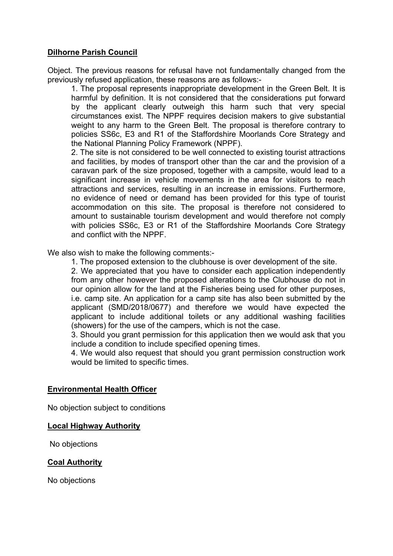### **Dilhorne Parish Council**

Object. The previous reasons for refusal have not fundamentally changed from the previously refused application, these reasons are as follows:-

1. The proposal represents inappropriate development in the Green Belt. It is harmful by definition. It is not considered that the considerations put forward by the applicant clearly outweigh this harm such that very special circumstances exist. The NPPF requires decision makers to give substantial weight to any harm to the Green Belt. The proposal is therefore contrary to policies SS6c, E3 and R1 of the Staffordshire Moorlands Core Strategy and the National Planning Policy Framework (NPPF).

2. The site is not considered to be well connected to existing tourist attractions and facilities, by modes of transport other than the car and the provision of a caravan park of the size proposed, together with a campsite, would lead to a significant increase in vehicle movements in the area for visitors to reach attractions and services, resulting in an increase in emissions. Furthermore, no evidence of need or demand has been provided for this type of tourist accommodation on this site. The proposal is therefore not considered to amount to sustainable tourism development and would therefore not comply with policies SS6c, E3 or R1 of the Staffordshire Moorlands Core Strategy and conflict with the NPPF.

We also wish to make the following comments:-

1. The proposed extension to the clubhouse is over development of the site.

2. We appreciated that you have to consider each application independently from any other however the proposed alterations to the Clubhouse do not in our opinion allow for the land at the Fisheries being used for other purposes, i.e. camp site. An application for a camp site has also been submitted by the applicant (SMD/2018/0677) and therefore we would have expected the applicant to include additional toilets or any additional washing facilities (showers) for the use of the campers, which is not the case.

3. Should you grant permission for this application then we would ask that you include a condition to include specified opening times.

4. We would also request that should you grant permission construction work would be limited to specific times.

#### **Environmental Health Officer**

No objection subject to conditions

#### **Local Highway Authority**

No objections

### **Coal Authority**

No objections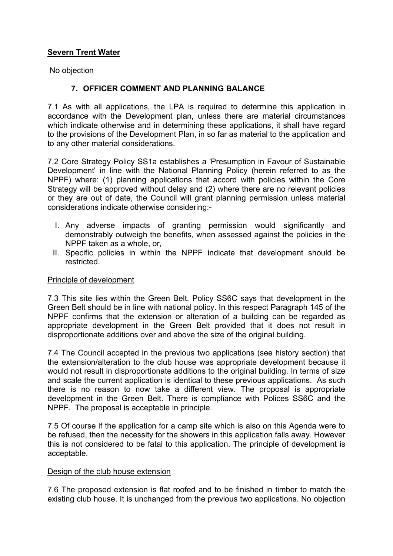# **Severn Trent Water**

No objection

## **7. OFFICER COMMENT AND PLANNING BALANCE**

7.1 As with all applications, the LPA is required to determine this application in accordance with the Development plan, unless there are material circumstances which indicate otherwise and in determining these applications, it shall have regard to the provisions of the Development Plan, in so far as material to the application and to any other material considerations.

7.2 Core Strategy Policy SS1a establishes a 'Presumption in Favour of Sustainable Development' in line with the National Planning Policy (herein referred to as the NPPF) where: (1) planning applications that accord with policies within the Core Strategy will be approved without delay and (2) where there are no relevant policies or they are out of date, the Council will grant planning permission unless material considerations indicate otherwise considering:-

- I. Any adverse impacts of granting permission would significantly and demonstrably outweigh the benefits, when assessed against the policies in the NPPF taken as a whole, or,
- II. Specific policies in within the NPPF indicate that development should be restricted.

### Principle of development

7.3 This site lies within the Green Belt. Policy SS6C says that development in the Green Belt should be in line with national policy. In this respect Paragraph 145 of the NPPF confirms that the extension or alteration of a building can be regarded as appropriate development in the Green Belt provided that it does not result in disproportionate additions over and above the size of the original building.

7.4 The Council accepted in the previous two applications (see history section) that the extension/alteration to the club house was appropriate development because it would not result in disproportionate additions to the original building. In terms of size and scale the current application is identical to these previous applications. As such there is no reason to now take a different view. The proposal is appropriate development in the Green Belt. There is compliance with Polices SS6C and the NPPF. The proposal is acceptable in principle.

7.5 Of course if the application for a camp site which is also on this Agenda were to be refused, then the necessity for the showers in this application falls away. However this is not considered to be fatal to this application. The principle of development is acceptable.

### Design of the club house extension

7.6 The proposed extension is flat roofed and to be finished in timber to match the existing club house. It is unchanged from the previous two applications. No objection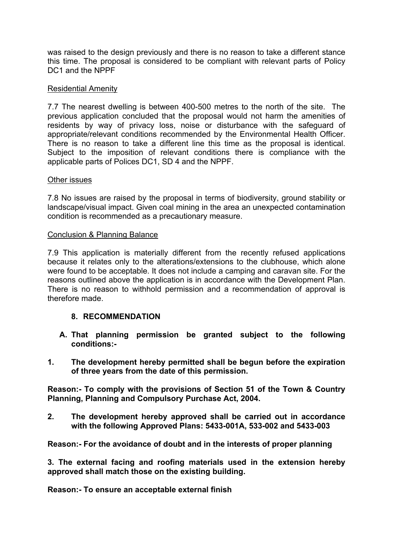was raised to the design previously and there is no reason to take a different stance this time. The proposal is considered to be compliant with relevant parts of Policy DC1 and the NPPF

### Residential Amenity

7.7 The nearest dwelling is between 400-500 metres to the north of the site. The previous application concluded that the proposal would not harm the amenities of residents by way of privacy loss, noise or disturbance with the safeguard of appropriate/relevant conditions recommended by the Environmental Health Officer. There is no reason to take a different line this time as the proposal is identical. Subject to the imposition of relevant conditions there is compliance with the applicable parts of Polices DC1, SD 4 and the NPPF.

#### Other issues

7.8 No issues are raised by the proposal in terms of biodiversity, ground stability or landscape/visual impact. Given coal mining in the area an unexpected contamination condition is recommended as a precautionary measure.

### Conclusion & Planning Balance

7.9 This application is materially different from the recently refused applications because it relates only to the alterations/extensions to the clubhouse, which alone were found to be acceptable. It does not include a camping and caravan site. For the reasons outlined above the application is in accordance with the Development Plan. There is no reason to withhold permission and a recommendation of approval is therefore made.

### **8. RECOMMENDATION**

- **A. That planning permission be granted subject to the following conditions:-**
- **1. The development hereby permitted shall be begun before the expiration of three years from the date of this permission.**

**Reason:- To comply with the provisions of Section 51 of the Town & Country Planning, Planning and Compulsory Purchase Act, 2004.**

**2. The development hereby approved shall be carried out in accordance with the following Approved Plans: 5433-001A, 533-002 and 5433-003**

**Reason:- For the avoidance of doubt and in the interests of proper planning**

**3. The external facing and roofing materials used in the extension hereby approved shall match those on the existing building.**

**Reason:- To ensure an acceptable external finish**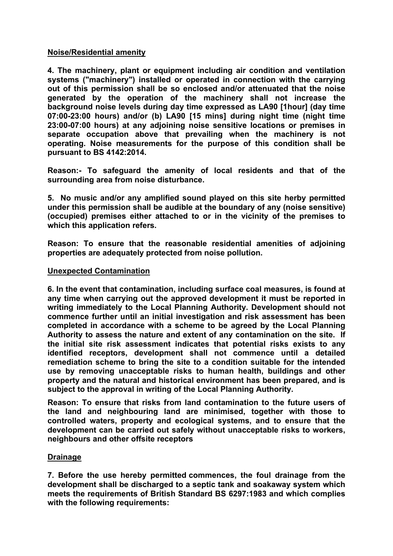### **Noise/Residential amenity**

**4. The machinery, plant or equipment including air condition and ventilation systems ("machinery") installed or operated in connection with the carrying out of this permission shall be so enclosed and/or attenuated that the noise generated by the operation of the machinery shall not increase the background noise levels during day time expressed as LA90 [1hour] (day time 07:00-23:00 hours) and/or (b) LA90 [15 mins] during night time (night time 23:00-07:00 hours) at any adjoining noise sensitive locations or premises in separate occupation above that prevailing when the machinery is not operating. Noise measurements for the purpose of this condition shall be pursuant to BS 4142:2014.**

**Reason:- To safeguard the amenity of local residents and that of the surrounding area from noise disturbance.**

**5. No music and/or any amplified sound played on this site herby permitted under this permission shall be audible at the boundary of any (noise sensitive) (occupied) premises either attached to or in the vicinity of the premises to which this application refers.**

**Reason: To ensure that the reasonable residential amenities of adjoining properties are adequately protected from noise pollution.**

### **Unexpected Contamination**

**6. In the event that contamination, including surface coal measures, is found at any time when carrying out the approved development it must be reported in writing immediately to the Local Planning Authority. Development should not commence further until an initial investigation and risk assessment has been completed in accordance with a scheme to be agreed by the Local Planning Authority to assess the nature and extent of any contamination on the site. If the initial site risk assessment indicates that potential risks exists to any identified receptors, development shall not commence until a detailed remediation scheme to bring the site to a condition suitable for the intended use by removing unacceptable risks to human health, buildings and other property and the natural and historical environment has been prepared, and is subject to the approval in writing of the Local Planning Authority.**

**Reason: To ensure that risks from land contamination to the future users of the land and neighbouring land are minimised, together with those to controlled waters, property and ecological systems, and to ensure that the development can be carried out safely without unacceptable risks to workers, neighbours and other offsite receptors**

### **Drainage**

**7. Before the use hereby permitted commences, the foul drainage from the development shall be discharged to a septic tank and soakaway system which meets the requirements of British Standard BS 6297:1983 and which complies with the following requirements:**